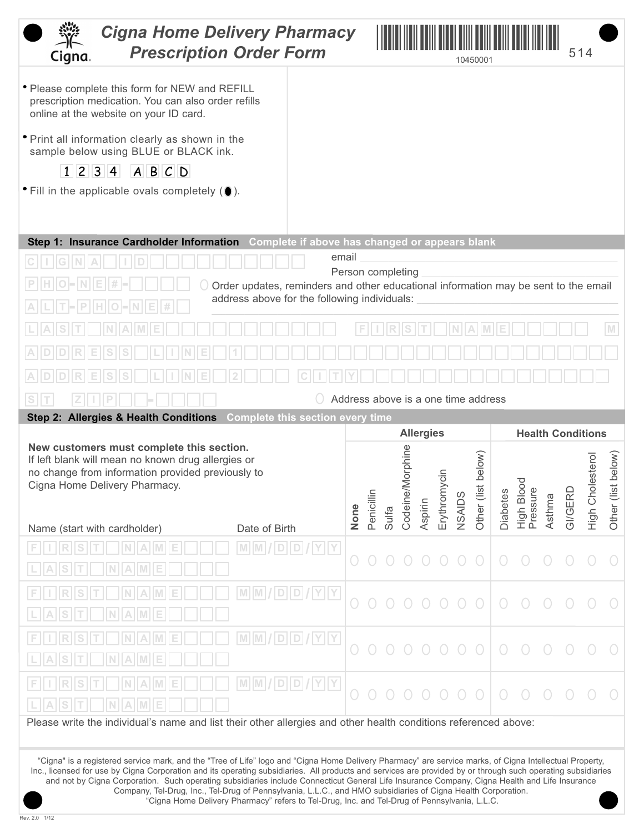| <b>Cigna Home Delivery Pharmacy</b><br><b>Prescription Order Form</b><br>Cigna.                                                                                                                                                                                                                                                                               |                                                                                     |                                             |      |            |       |                   |         |            |        | 10450001                            |                 |                       |        | 514                      |                         |             |
|---------------------------------------------------------------------------------------------------------------------------------------------------------------------------------------------------------------------------------------------------------------------------------------------------------------------------------------------------------------|-------------------------------------------------------------------------------------|---------------------------------------------|------|------------|-------|-------------------|---------|------------|--------|-------------------------------------|-----------------|-----------------------|--------|--------------------------|-------------------------|-------------|
| • Please complete this form for NEW and REFILL<br>prescription medication. You can also order refills<br>online at the website on your ID card.                                                                                                                                                                                                               |                                                                                     |                                             |      |            |       |                   |         |            |        |                                     |                 |                       |        |                          |                         |             |
| • Print all information clearly as shown in the<br>sample below using BLUE or BLACK ink.                                                                                                                                                                                                                                                                      |                                                                                     |                                             |      |            |       |                   |         |            |        |                                     |                 |                       |        |                          |                         |             |
| 1 2 3 4<br>ABCD<br>• Fill in the applicable ovals completely (0).                                                                                                                                                                                                                                                                                             |                                                                                     |                                             |      |            |       |                   |         |            |        |                                     |                 |                       |        |                          |                         |             |
|                                                                                                                                                                                                                                                                                                                                                               |                                                                                     |                                             |      |            |       |                   |         |            |        |                                     |                 |                       |        |                          |                         |             |
| Step 1: Insurance Cardholder Information Complete if above has changed or appears blank                                                                                                                                                                                                                                                                       |                                                                                     |                                             |      |            |       |                   |         |            |        |                                     |                 |                       |        |                          |                         |             |
|                                                                                                                                                                                                                                                                                                                                                               |                                                                                     | email                                       |      |            |       | Person completing |         |            |        |                                     |                 |                       |        |                          |                         |             |
|                                                                                                                                                                                                                                                                                                                                                               | Order updates, reminders and other educational information may be sent to the email |                                             |      |            |       |                   |         |            |        |                                     |                 |                       |        |                          |                         |             |
| $\mathsf{P}$<br> O                                                                                                                                                                                                                                                                                                                                            | address above for the following individuals:                                        |                                             |      |            |       |                   |         |            |        |                                     |                 |                       |        |                          |                         |             |
|                                                                                                                                                                                                                                                                                                                                                               |                                                                                     |                                             |      |            |       |                   |         |            |        |                                     |                 |                       |        |                          |                         | M           |
|                                                                                                                                                                                                                                                                                                                                                               |                                                                                     |                                             |      |            |       |                   |         |            |        |                                     |                 |                       |        |                          |                         |             |
|                                                                                                                                                                                                                                                                                                                                                               |                                                                                     |                                             |      |            |       |                   |         |            |        |                                     |                 |                       |        |                          |                         |             |
| S                                                                                                                                                                                                                                                                                                                                                             |                                                                                     |                                             |      |            |       |                   |         |            |        | Address above is a one time address |                 |                       |        |                          |                         |             |
| Step 2: Allergies & Health Conditions                                                                                                                                                                                                                                                                                                                         | <b>Complete this section every time</b>                                             |                                             |      |            |       |                   |         |            |        |                                     |                 |                       |        |                          |                         |             |
|                                                                                                                                                                                                                                                                                                                                                               |                                                                                     |                                             |      |            |       | <b>Allergies</b>  |         |            |        |                                     |                 |                       |        | <b>Health Conditions</b> |                         |             |
|                                                                                                                                                                                                                                                                                                                                                               |                                                                                     |                                             |      |            |       |                   |         |            |        |                                     |                 |                       |        |                          |                         |             |
| New customers must complete this section.<br>If left blank will mean no known drug allergies or                                                                                                                                                                                                                                                               |                                                                                     |                                             |      |            |       |                   |         |            |        |                                     |                 |                       |        |                          |                         |             |
| no change from information provided previously to                                                                                                                                                                                                                                                                                                             |                                                                                     |                                             |      |            |       | Morphine          |         |            |        | below)                              |                 |                       |        |                          |                         | below)      |
| Cigna Home Delivery Pharmacy.                                                                                                                                                                                                                                                                                                                                 |                                                                                     |                                             |      |            |       |                   |         | ycin       |        |                                     |                 | $\overline{O}$        |        |                          |                         |             |
|                                                                                                                                                                                                                                                                                                                                                               |                                                                                     |                                             | None | Penicillin | Sulfa | Codeine           | Aspirin | Erythrom   | NSAIDS | Other (list                         | <b>Diabetes</b> | High Bloo<br>Pressure | Asthma | <b>GI/GERI</b>           | <b>High Cholesterol</b> | Other (list |
| Name (start with cardholder)                                                                                                                                                                                                                                                                                                                                  | Date of Birth                                                                       |                                             |      |            |       |                   |         |            |        |                                     |                 |                       |        |                          |                         |             |
|                                                                                                                                                                                                                                                                                                                                                               |                                                                                     | $M$ $M$ $ $ $D$ $ $ $D$ $ $ $ $ $Y$ $ $ $Y$ |      |            |       |                   |         |            |        |                                     |                 |                       |        |                          |                         |             |
|                                                                                                                                                                                                                                                                                                                                                               |                                                                                     |                                             |      |            |       |                   |         |            |        |                                     |                 |                       |        |                          |                         |             |
| IA.                                                                                                                                                                                                                                                                                                                                                           |                                                                                     |                                             |      |            |       |                   |         |            |        |                                     |                 |                       |        |                          |                         |             |
|                                                                                                                                                                                                                                                                                                                                                               |                                                                                     |                                             |      |            |       |                   |         |            |        |                                     |                 |                       |        |                          |                         |             |
|                                                                                                                                                                                                                                                                                                                                                               |                                                                                     |                                             |      |            |       |                   |         | $\bigcirc$ |        |                                     |                 |                       |        |                          |                         |             |
|                                                                                                                                                                                                                                                                                                                                                               |                                                                                     |                                             |      |            |       |                   |         |            |        |                                     |                 |                       |        |                          |                         |             |
|                                                                                                                                                                                                                                                                                                                                                               |                                                                                     |                                             |      |            |       |                   |         |            |        |                                     |                 |                       |        |                          |                         |             |
| Please write the individual's name and list their other allergies and other health conditions referenced above:                                                                                                                                                                                                                                               |                                                                                     |                                             |      |            |       |                   |         |            |        |                                     |                 |                       |        |                          |                         |             |
|                                                                                                                                                                                                                                                                                                                                                               |                                                                                     |                                             |      |            |       |                   |         |            |        |                                     |                 |                       |        |                          |                         |             |
| "Cigna" is a registered service mark, and the "Tree of Life" logo and "Cigna Home Delivery Pharmacy" are service marks, of Cigna Intellectual Property,<br>Inc., licensed for use by Cigna Corporation and its operating subsidiaries. All products and services are provided by or through such operating subsidiaries                                       |                                                                                     |                                             |      |            |       |                   |         |            |        |                                     |                 |                       |        |                          |                         |             |
| and not by Cigna Corporation. Such operating subsidiaries include Connecticut General Life Insurance Company, Cigna Health and Life Insurance<br>Company, Tel-Drug, Inc., Tel-Drug of Pennsylvania, L.L.C., and HMO subsidiaries of Cigna Health Corporation.<br>"Cigna Home Delivery Pharmacy" refers to Tel-Drug, Inc. and Tel-Drug of Pennsylvania, L.L.C. |                                                                                     |                                             |      |            |       |                   |         |            |        |                                     |                 |                       |        |                          |                         |             |